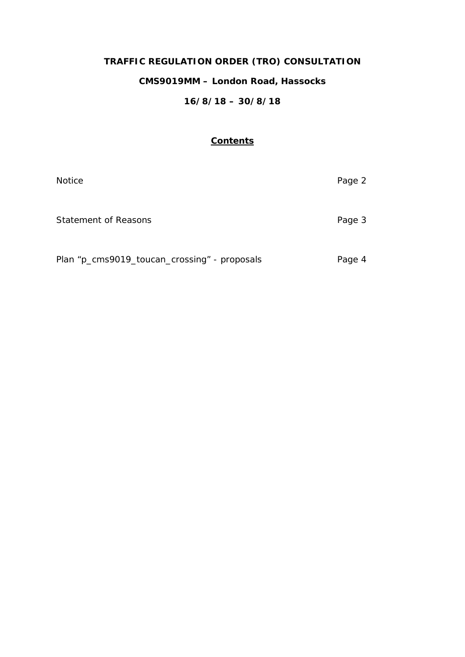# **TRAFFIC REGULATION ORDER (TRO) CONSULTATION**

# **CMS9019MM – London Road, Hassocks**

# **16/8/18 – 30/8/18**

#### **Contents**

| <b>Notice</b>                                | Page 2 |
|----------------------------------------------|--------|
| Statement of Reasons                         | Page 3 |
| Plan "p_cms9019_toucan_crossing" - proposals | Page 4 |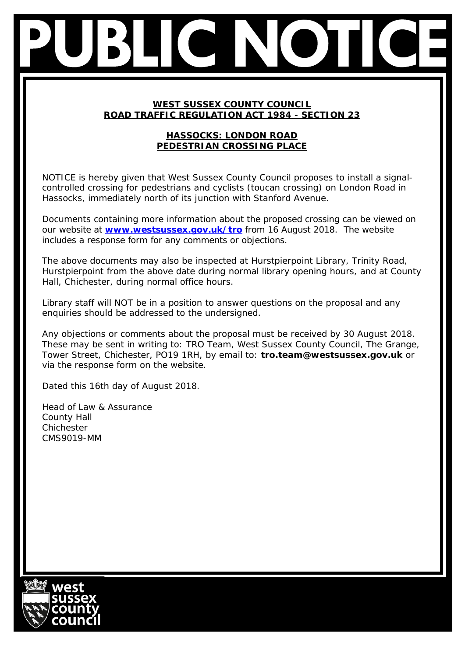### **WEST SUSSEX COUNTY COUNCIL ROAD TRAFFIC REGULATION ACT 1984 - SECTION 23**

# **HASSOCKS: LONDON ROAD PEDESTRIAN CROSSING PLACE**

NOTICE is hereby given that West Sussex County Council proposes to install a signalcontrolled crossing for pedestrians and cyclists (toucan crossing) on London Road in Hassocks, immediately north of its junction with Stanford Avenue.

Documents containing more information about the proposed crossing can be viewed on our website at **[www.westsussex.gov.uk/tro](http://www.westsussex.gov.uk/tro)** from 16 August 2018. The website includes a response form for any comments or objections.

The above documents may also be inspected at Hurstpierpoint Library, Trinity Road, Hurstpierpoint from the above date during normal library opening hours, and at County Hall, Chichester, during normal office hours.

Library staff will NOT be in a position to answer questions on the proposal and any enquiries should be addressed to the undersigned.

Any objections or comments about the proposal must be received by 30 August 2018. These may be sent in writing to: TRO Team, West Sussex County Council, The Grange, Tower Street, Chichester, PO19 1RH, by email to: **tro.team@westsussex.gov.uk** or via the response form on the website.

Dated this 16th day of August 2018.

Head of Law & Assurance County Hall Chichester CMS9019-MM

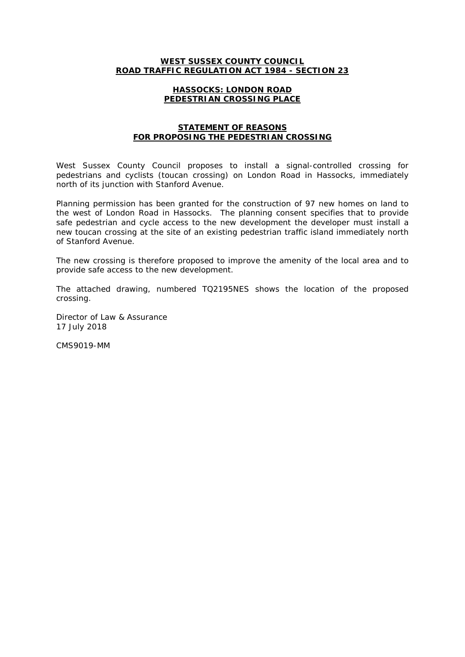#### **WEST SUSSEX COUNTY COUNCIL ROAD TRAFFIC REGULATION ACT 1984 - SECTION 23**

#### **HASSOCKS: LONDON ROAD PEDESTRIAN CROSSING PLACE**

#### **STATEMENT OF REASONS FOR PROPOSING THE PEDESTRIAN CROSSING**

West Sussex County Council proposes to install a signal-controlled crossing for pedestrians and cyclists (toucan crossing) on London Road in Hassocks, immediately north of its junction with Stanford Avenue.

Planning permission has been granted for the construction of 97 new homes on land to the west of London Road in Hassocks. The planning consent specifies that to provide safe pedestrian and cycle access to the new development the developer must install a new toucan crossing at the site of an existing pedestrian traffic island immediately north of Stanford Avenue.

The new crossing is therefore proposed to improve the amenity of the local area and to provide safe access to the new development.

The attached drawing, numbered TQ2195NES shows the location of the proposed crossing.

Director of Law & Assurance 17 July 2018

CMS9019-MM